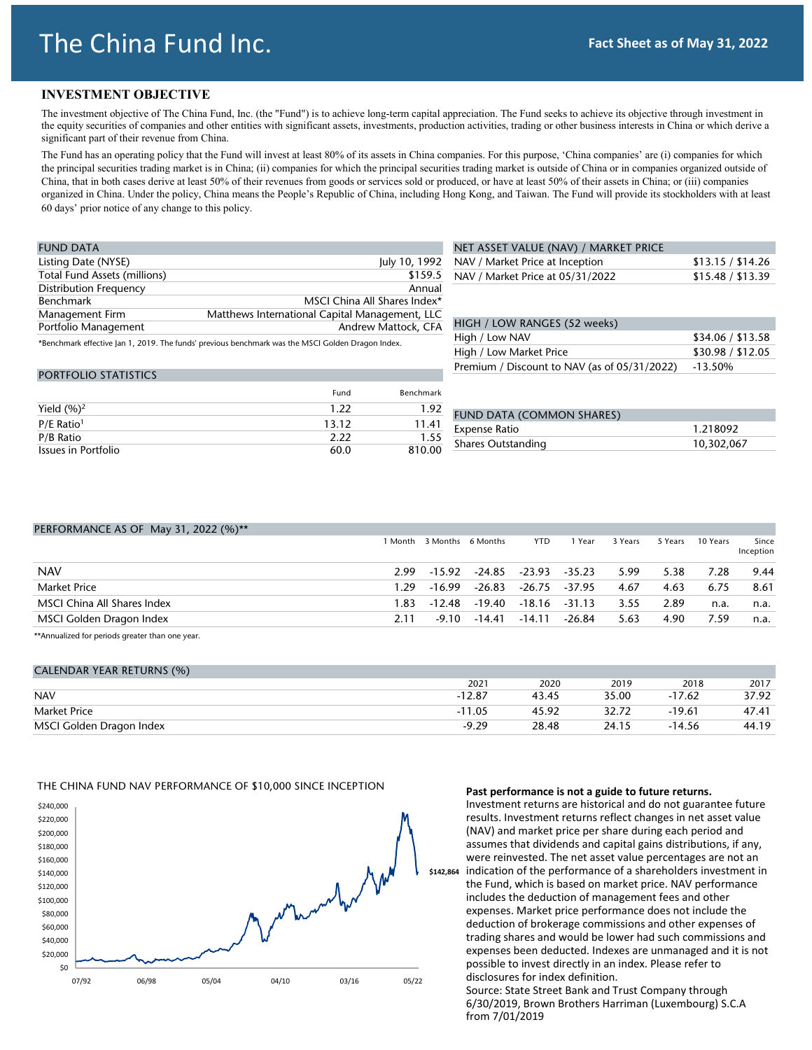# The China Fund Inc.

### **INVESTMENT OBJECTIVE**

The investment objective of The China Fund, Inc. (the "Fund") is to achieve long-term capital appreciation. The Fund seeks to achieve its objective through investment in the equity securities of companies and other entities with significant assets, investments, production activities, trading or other business interests in China or which derive a significant part of their revenue from China.

The Fund has an operating policy that the Fund will invest at least 80% of its assets in China companies. For this purpose, 'China companies' are (i) companies for which the principal securities trading market is in China; (ii) companies for which the principal securities trading market is outside of China or in companies organized outside of China, that in both cases derive at least 50% of their revenues from goods or services sold or produced, or have at least 50% of their assets in China; or (iii) companies organized in China. Under the policy, China means the People's Republic of China, including Hong Kong, and Taiwan. The Fund will provide its stockholders with at least 60 days' prior notice of any change to this policy.

| <b>FUND DATA</b>              |                                                                                                   |
|-------------------------------|---------------------------------------------------------------------------------------------------|
| Listing Date (NYSE)           | July 10, 1992                                                                                     |
| Total Fund Assets (millions)  | \$159.5                                                                                           |
| <b>Distribution Frequency</b> | Annual                                                                                            |
| Benchmark                     | MSCI China All Shares Index*                                                                      |
| Management Firm               | Matthews International Capital Management, LLC                                                    |
| Portfolio Management          | Andrew Mattock, CFA                                                                               |
|                               | *Benchmark effective Jan 1, 2019. The funds' previous benchmark was the MSCI Golden Dragon Index. |

| NET ASSET VALUE (NAV) / MARKET PRICE |                   |
|--------------------------------------|-------------------|
| NAV / Market Price at Inception      | \$13.15 / \$14.26 |
| NAV / Market Price at 05/31/2022     | \$15.48 / \$13.39 |

### HIGH / LOW RANGES (52 weeks)

| High / Low NAV                                       | \$34.06 / \$13.58 |
|------------------------------------------------------|-------------------|
| High / Low Market Price                              | \$30.98 / \$12.05 |
| Premium / Discount to NAV (as of 05/31/2022) -13.50% |                   |

| <b>PORTFOLIO STATISTICS</b> |       |                  |
|-----------------------------|-------|------------------|
|                             | Fund  | <b>Benchmark</b> |
| Yield $(%)2$                | 1.22  | 1.92             |
| $P/E$ Ratio <sup>1</sup>    | 13.12 | 11.41            |
| P/B Ratio                   | 2.22  | 1.55             |
| Issues in Portfolio         | 60.0  | 810.00           |

| FUND DATA (COMMON SHARES) |            |
|---------------------------|------------|
| Expense Ratio             | 1.218092   |
| Shares Outstanding        | 10,302,067 |

| PERFORMANCE AS OF May 31, 2022 (%)**                    |         |                   |                      |               |          |         |         |          |                    |
|---------------------------------------------------------|---------|-------------------|----------------------|---------------|----------|---------|---------|----------|--------------------|
|                                                         | 1 Month | 3 Months 6 Months |                      | YTD           | Year     | 3 Years | 5 Years | 10 Years | Since<br>Inception |
| <b>NAV</b>                                              | 2.99    | $-15.92$          | -24.85 -23.93 -35.23 |               |          | 5.99    | 5.38    | 7.28     | 9.44               |
| <b>Market Price</b>                                     | 1.29    | $-16.99$          | $-26.83$             | $-26.75$      | -37.95   | 4.67    | 4.63    | 6.75     | 8.61               |
| MSCI China All Shares Index                             | 1.83.   | $-12.48$          | -19.40               | $-18.16$      | $-31.13$ | 3.55    | 2.89    | n.a.     | n.a.               |
| MSCI Golden Dragon Index                                | 2.11    | $-9.10$           |                      | -14.41 -14.11 | -26.84   | 5.63    | 4.90    | 7.59     | n.a.               |
| ●●● ■ コース・コート コート ■ コース・コース コート コース・コース コート・コース コース・コース |         |                   |                      |               |          |         |         |          |                    |

\*Annualized for periods greater than one year.

| <b>CALENDAR YEAR RETURNS (%)</b> |          |       |       |          |       |
|----------------------------------|----------|-------|-------|----------|-------|
|                                  | 2021     | 2020  | 2019  | 2018     | 2017  |
| <b>NAV</b>                       | $-12.87$ | 43.45 | 35.00 | $-17.62$ | 37.92 |
| <b>Market Price</b>              | $-11.05$ | 45.92 | 32.72 | $-19.61$ | 47.41 |
| MSCI Golden Dragon Index         | $-9.29$  | 28.48 | 24.15 | $-14.56$ | 44.19 |

#### THE CHINA FUND NAV PERFORMANCE OF \$10,000 SINCE INCEPTION



#### **Past performance is not a guide to future returns.**

Investment returns are historical and do not guarantee future results. Investment returns reflect changes in net asset value (NAV) and market price per share during each period and assumes that dividends and capital gains distributions, if any, were reinvested. The net asset value percentages are not an indication of the performance of a shareholders investment in the Fund, which is based on market price. NAV performance includes the deduction of management fees and other expenses. Market price performance does not include the deduction of brokerage commissions and other expenses of trading shares and would be lower had such commissions and expenses been deducted. Indexes are unmanaged and it is not possible to invest directly in an index. Please refer to disclosures for index definition.

Source: State Street Bank and Trust Company through 6/30/2019, Brown Brothers Harriman (Luxembourg) S.C.A from 7/01/2019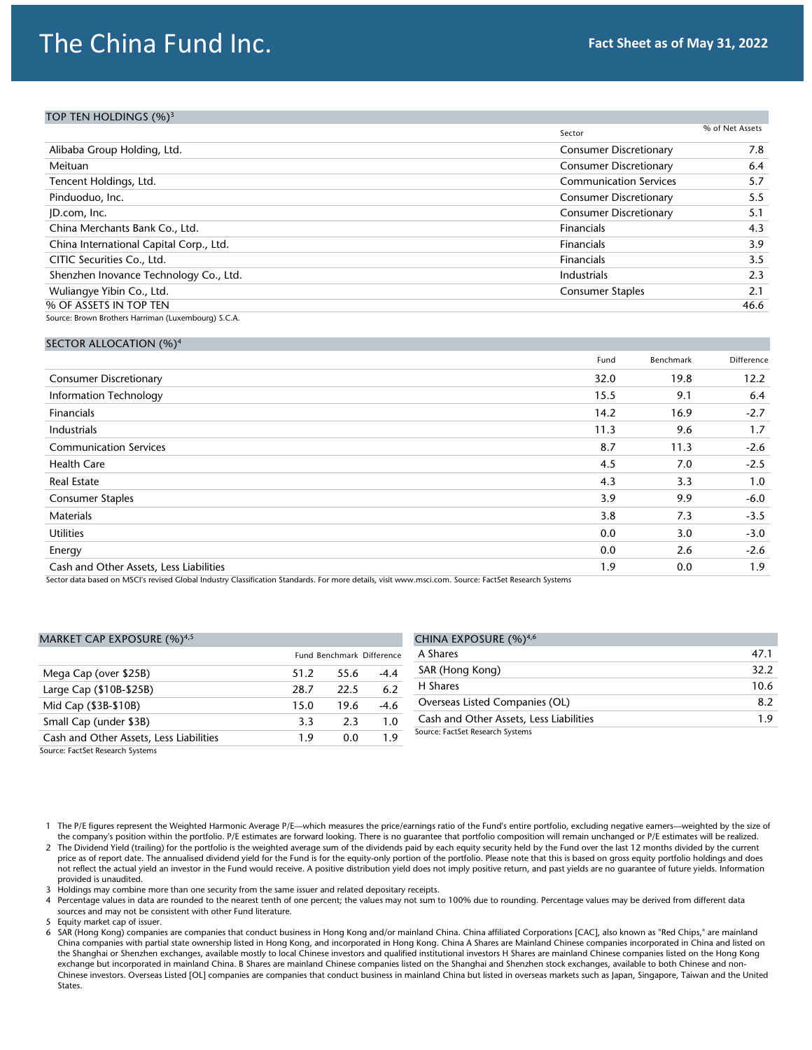# The China Fund Inc. **Fact Sheet as of May 31, 2022**

## TOP TEN HOLDINGS (%)<sup>3</sup>

|                                                     | Sector                        | % of Net Assets |
|-----------------------------------------------------|-------------------------------|-----------------|
| Alibaba Group Holding, Ltd.                         | <b>Consumer Discretionary</b> | 7.8             |
| Meituan                                             | <b>Consumer Discretionary</b> | 6.4             |
| Tencent Holdings, Ltd.                              | <b>Communication Services</b> | 5.7             |
| Pinduoduo, Inc.                                     | <b>Consumer Discretionary</b> | 5.5             |
| JD.com, Inc.                                        | <b>Consumer Discretionary</b> | 5.1             |
| China Merchants Bank Co., Ltd.                      | Financials                    | 4.3             |
| China International Capital Corp., Ltd.             | Financials                    | 3.9             |
| CITIC Securities Co., Ltd.                          | Financials                    | 3.5             |
| Shenzhen Inovance Technology Co., Ltd.              | Industrials                   | 2.3             |
| Wuliangye Yibin Co., Ltd.                           | <b>Consumer Staples</b>       | 2.1             |
| % OF ASSETS IN TOP TEN                              |                               | 46.6            |
| Source: Brown Brothers Harriman (Luxembourg) S.C.A. |                               |                 |

#### SECTOR ALLOCATION (%)<sup>4</sup>

|                                         | Fund | Benchmark | Difference |
|-----------------------------------------|------|-----------|------------|
| <b>Consumer Discretionary</b>           | 32.0 | 19.8      | 12.2       |
| <b>Information Technology</b>           | 15.5 | 9.1       | 6.4        |
| <b>Financials</b>                       | 14.2 | 16.9      | $-2.7$     |
| Industrials                             | 11.3 | 9.6       | 1.7        |
| <b>Communication Services</b>           | 8.7  | 11.3      | $-2.6$     |
| <b>Health Care</b>                      | 4.5  | 7.0       | $-2.5$     |
| <b>Real Estate</b>                      | 4.3  | 3.3       | 1.0        |
| <b>Consumer Staples</b>                 | 3.9  | 9.9       | $-6.0$     |
| <b>Materials</b>                        | 3.8  | 7.3       | $-3.5$     |
| <b>Utilities</b>                        | 0.0  | 3.0       | $-3.0$     |
| Energy                                  | 0.0  | 2.6       | $-2.6$     |
| Cash and Other Assets, Less Liabilities | 1.9  | 0.0       | 1.9        |

Sector data based on MSCI's revised Global Industry Classification Standards. For more details, visit www.msci.com. Source: FactSet Research Systems

#### MARKET CAP EXPOSURE (%)<sup>4,5</sup>

|                                         |      | <b>Fund Benchmark Difference</b> |        |
|-----------------------------------------|------|----------------------------------|--------|
| Mega Cap (over \$25B)                   | 51.2 | 55.6                             | $-4.4$ |
| Large Cap (\$10B-\$25B)                 | 28.7 | 22.5                             | 6.2    |
| Mid Cap (\$3B-\$10B)                    | 15.0 | 19.6                             | -4.6   |
| Small Cap (under \$3B)                  | 3.3  | 2.3                              | 1.0    |
| Cash and Other Assets, Less Liabilities | 19   | 0 Q                              | 19     |

| CHINA EXPOSURE (%) <sup>4,6</sup>       |      |
|-----------------------------------------|------|
| A Shares                                | 47.1 |
| SAR (Hong Kong)                         | 32.2 |
| H Shares                                | 10.6 |
| Overseas Listed Companies (OL)          | 8.2  |
| Cash and Other Assets, Less Liabilities | 1.9  |
| Source: FactSet Research Systems        |      |

Source: FactSet Research Systems

2 The Dividend Yield (trailing) for the portfolio is the weighted average sum of the dividends paid by each equity security held by the Fund over the last 12 months divided by the current price as of report date. The annualised dividend yield for the Fund is for the equity-only portion of the portfolio. Please note that this is based on gross equity portfolio holdings and does not reflect the actual yield an investor in the Fund would receive. A positive distribution yield does not imply positive return, and past yields are no guarantee of future yields. Information provided is unaudited.

3 Holdings may combine more than one security from the same issuer and related depositary receipts.

4 Percentage values in data are rounded to the nearest tenth of one percent; the values may not sum to 100% due to rounding. Percentage values may be derived from different data sources and may not be consistent with other Fund literature.

5 Equity market cap of issuer.

6 SAR (Hong Kong) companies are companies that conduct business in Hong Kong and/or mainland China. China affiliated Corporations [CAC], also known as "Red Chips," are mainland China companies with partial state ownership listed in Hong Kong, and incorporated in Hong Kong. China A Shares are Mainland Chinese companies incorporated in China and listed on the Shanghai or Shenzhen exchanges, available mostly to local Chinese investors and qualified institutional investors H Shares are mainland Chinese companies listed on the Hong Kong exchange but incorporated in mainland China. B Shares are mainland Chinese companies listed on the Shanghai and Shenzhen stock exchanges, available to both Chinese and non-Chinese investors. Overseas Listed [OL] companies are companies that conduct business in mainland China but listed in overseas markets such as Japan, Singapore, Taiwan and the United States.

<sup>1</sup> The P/E figures represent the Weighted Harmonic Average P/E—which measures the price/earnings ratio of the Fund's entire portfolio, excluding negative earners—weighted by the size of the company's position within the portfolio. P/E estimates are forward looking. There is no guarantee that portfolio composition will remain unchanged or P/E estimates will be realized.